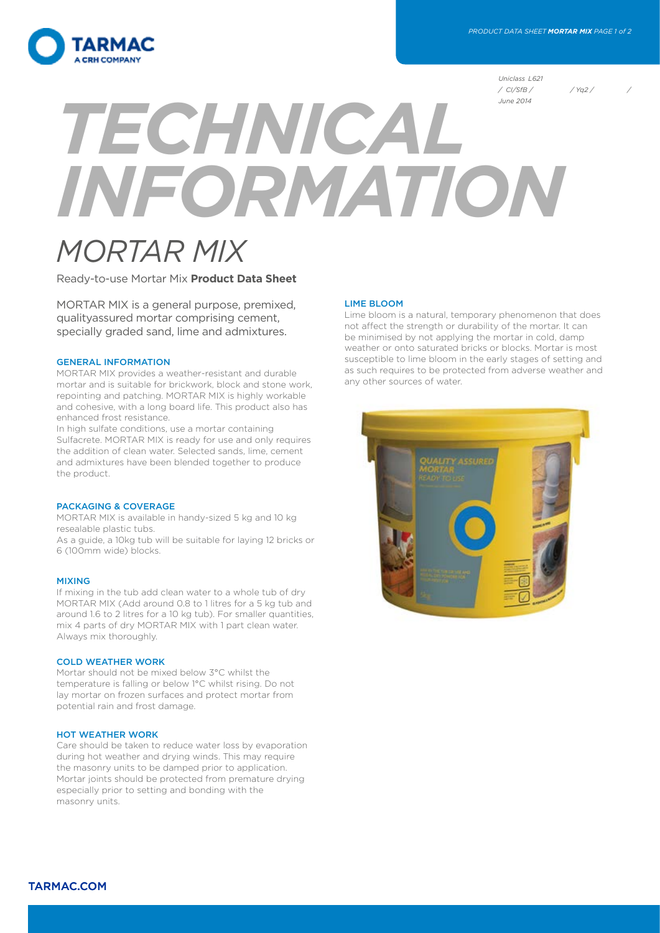

*Uniclass L621 / CI/SfB / / Yq2 / /* 

# *TECHNICAL INFORMATION June 2014*

# *MORTAR MIX*

Ready-to-use Mortar Mix **Product Data Sheet**

MORTAR MIX is a general purpose, premixed, qualityassured mortar comprising cement, specially graded sand, lime and admixtures.

#### GENERAL INFORMATION

MORTAR MIX provides a weather-resistant and durable mortar and is suitable for brickwork, block and stone work, repointing and patching. MORTAR MIX is highly workable and cohesive, with a long board life. This product also has enhanced frost resistance.

In high sulfate conditions, use a mortar containing Sulfacrete. MORTAR MIX is ready for use and only requires the addition of clean water. Selected sands, lime, cement and admixtures have been blended together to produce the product.

#### PACKAGING & COVERAGE

MORTAR MIX is available in handy-sized 5 kg and 10 kg resealable plastic tubs.

As a guide, a 10kg tub will be suitable for laying 12 bricks or 6 (100mm wide) blocks.

#### MIXING

If mixing in the tub add clean water to a whole tub of dry MORTAR MIX (Add around 0.8 to 1 litres for a 5 kg tub and around 1.6 to 2 litres for a 10 kg tub). For smaller quantities, mix 4 parts of dry MORTAR MIX with 1 part clean water. Always mix thoroughly.

#### COLD WEATHER WORK

Mortar should not be mixed below 3°C whilst the temperature is falling or below 1°C whilst rising. Do not lay mortar on frozen surfaces and protect mortar from potential rain and frost damage.

### HOT WEATHER WORK

Care should be taken to reduce water loss by evaporation during hot weather and drying winds. This may require the masonry units to be damped prior to application. Mortar joints should be protected from premature drying especially prior to setting and bonding with the masonry units.

#### LIME BLOOM

Lime bloom is a natural, temporary phenomenon that does not affect the strength or durability of the mortar. It can be minimised by not applying the mortar in cold, damp weather or onto saturated bricks or blocks. Mortar is most susceptible to lime bloom in the early stages of setting and as such requires to be protected from adverse weather and any other sources of water.



TARMAC.COM